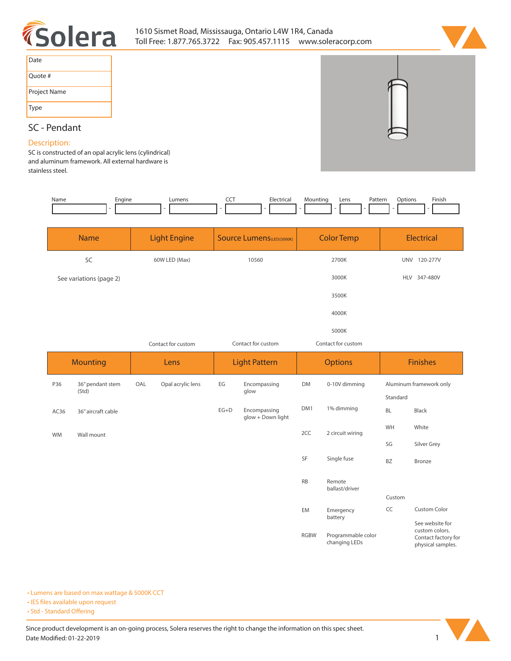

# 1610 Sismet Road, Mississauga, Ontario L4W 1R4, Canada Toll Free: 1.877.765.3722 Fax: 905.457.1115 www.soleracorp.com



| Date         |
|--------------|
| Ouote #      |
| Project Name |
| Type         |

## **SC - Pendant**

### **Description:**

**SC is constructed of an opal acrylic lens (cylindrical) and aluminum framework. All external hardware is stainless steel.** 

| Name            | Engine                    |                     | Lumens            | <b>CCT</b>                       | Electrical                        | Mounting           | Pattern<br>Lens                     | Options                 | Finish                                                                       |
|-----------------|---------------------------|---------------------|-------------------|----------------------------------|-----------------------------------|--------------------|-------------------------------------|-------------------------|------------------------------------------------------------------------------|
| <b>Name</b>     |                           | <b>Light Engine</b> |                   | <b>Source Lumens(LED)(5000K)</b> |                                   | <b>Color Temp</b>  |                                     | Electrical              |                                                                              |
| SC              |                           | 60W LED (Max)       |                   | 10560                            |                                   | 2700K              |                                     | UNV 120-277V            |                                                                              |
|                 | See variations (page 2)   |                     |                   |                                  |                                   |                    | 3000K                               |                         | HLV 347-480V                                                                 |
|                 |                           |                     |                   |                                  |                                   |                    | 3500K                               |                         |                                                                              |
|                 |                           |                     |                   |                                  |                                   |                    | 4000K                               |                         |                                                                              |
|                 |                           |                     |                   |                                  |                                   |                    | 5000K                               |                         |                                                                              |
|                 |                           | Contact for custom  |                   | Contact for custom               |                                   | Contact for custom |                                     |                         |                                                                              |
| <b>Mounting</b> |                           | Lens                |                   | <b>Light Pattern</b>             |                                   | <b>Options</b>     |                                     | <b>Finishes</b>         |                                                                              |
| P36             | 36" pendant stem<br>(Std) | OAL                 | Opal acrylic lens | EG                               | Encompassing<br>glow              | <b>DM</b>          | 0-10V dimming                       | Aluminum framework only |                                                                              |
|                 |                           |                     |                   |                                  |                                   |                    |                                     | Standard                |                                                                              |
| AC36            | 36" aircraft cable        |                     |                   | $EG+D$                           | Encompassing<br>glow + Down light | DM1                | 1% dimming                          | BL                      | Black                                                                        |
| <b>WM</b>       | Wall mount                |                     |                   |                                  |                                   | 2CC                | 2 circuit wiring                    | WH                      | White                                                                        |
|                 |                           |                     |                   |                                  |                                   |                    |                                     | SG                      | Silver Grey                                                                  |
|                 |                           |                     |                   |                                  |                                   | SF                 | Single fuse                         | BZ                      | Bronze                                                                       |
|                 |                           |                     |                   |                                  |                                   | <b>RB</b>          | Remote<br>ballast/driver            |                         |                                                                              |
|                 |                           |                     |                   |                                  |                                   |                    |                                     | Custom                  |                                                                              |
|                 |                           |                     |                   |                                  |                                   | EM                 | Emergency<br>battery                | CC                      | <b>Custom Color</b>                                                          |
|                 |                           |                     |                   |                                  |                                   | <b>RGBW</b>        | Programmable color<br>changing LEDs |                         | See website for<br>custom colors.<br>Contact factory for<br>nhysical samples |

**• Lumens are based on max wattage & 5000K CCT**

**• IES files available upon request** 

• Std - Standard Offering



**physical samples.**